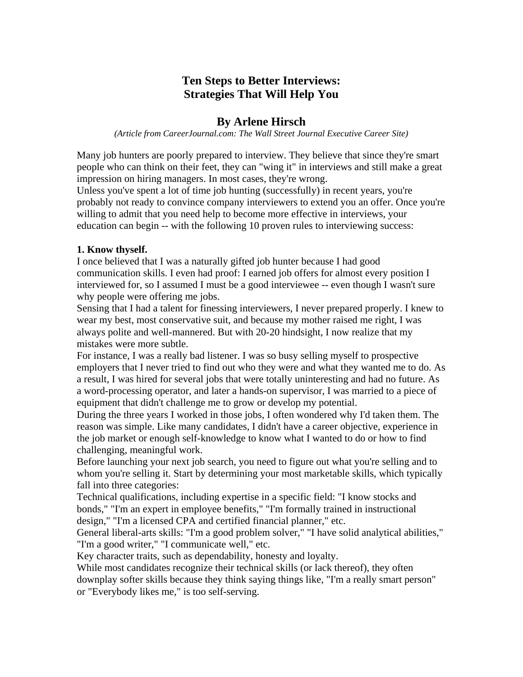# **Ten Steps to Better Interviews: Strategies That Will Help You**

## **By Arlene Hirsch**

*(Article from CareerJournal.com: The Wall Street Journal Executive Career Site)* 

Many job hunters are poorly prepared to interview. They believe that since they're smart people who can think on their feet, they can "wing it" in interviews and still make a great impression on hiring managers. In most cases, they're wrong.

Unless you've spent a lot of time job hunting (successfully) in recent years, you're probably not ready to convince company interviewers to extend you an offer. Once you're willing to admit that you need help to become more effective in interviews, your education can begin -- with the following 10 proven rules to interviewing success:

### **1. Know thyself.**

I once believed that I was a naturally gifted job hunter because I had good communication skills. I even had proof: I earned job offers for almost every position I interviewed for, so I assumed I must be a good interviewee -- even though I wasn't sure why people were offering me jobs.

Sensing that I had a talent for finessing interviewers, I never prepared properly. I knew to wear my best, most conservative suit, and because my mother raised me right, I was always polite and well-mannered. But with 20-20 hindsight, I now realize that my mistakes were more subtle.

For instance, I was a really bad listener. I was so busy selling myself to prospective employers that I never tried to find out who they were and what they wanted me to do. As a result, I was hired for several jobs that were totally uninteresting and had no future. As a word-processing operator, and later a hands-on supervisor, I was married to a piece of equipment that didn't challenge me to grow or develop my potential.

During the three years I worked in those jobs, I often wondered why I'd taken them. The reason was simple. Like many candidates, I didn't have a career objective, experience in the job market or enough self-knowledge to know what I wanted to do or how to find challenging, meaningful work.

Before launching your next job search, you need to figure out what you're selling and to whom you're selling it. Start by determining your most marketable skills, which typically fall into three categories:

Technical qualifications, including expertise in a specific field: "I know stocks and bonds," "I'm an expert in employee benefits," "I'm formally trained in instructional design," "I'm a licensed CPA and certified financial planner," etc.

General liberal-arts skills: "I'm a good problem solver," "I have solid analytical abilities," "I'm a good writer," "I communicate well," etc.

Key character traits, such as dependability, honesty and loyalty.

While most candidates recognize their technical skills (or lack thereof), they often downplay softer skills because they think saying things like, "I'm a really smart person" or "Everybody likes me," is too self-serving.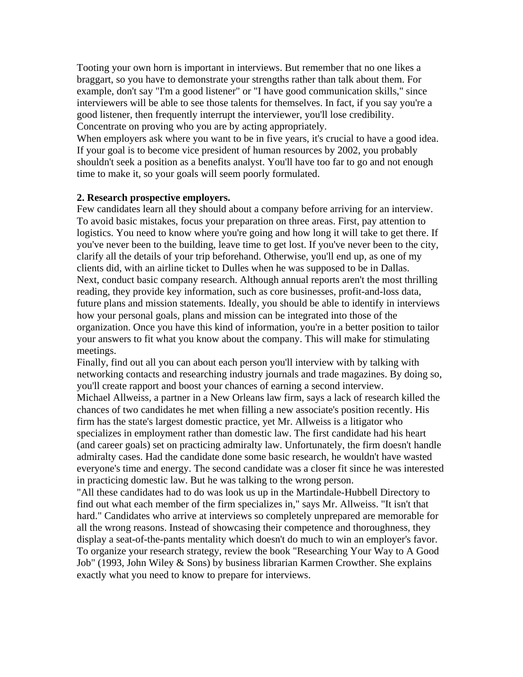Tooting your own horn is important in interviews. But remember that no one likes a braggart, so you have to demonstrate your strengths rather than talk about them. For example, don't say "I'm a good listener" or "I have good communication skills," since interviewers will be able to see those talents for themselves. In fact, if you say you're a good listener, then frequently interrupt the interviewer, you'll lose credibility. Concentrate on proving who you are by acting appropriately.

When employers ask where you want to be in five years, it's crucial to have a good idea. If your goal is to become vice president of human resources by 2002, you probably shouldn't seek a position as a benefits analyst. You'll have too far to go and not enough time to make it, so your goals will seem poorly formulated.

#### **2. Research prospective employers.**

Few candidates learn all they should about a company before arriving for an interview. To avoid basic mistakes, focus your preparation on three areas. First, pay attention to logistics. You need to know where you're going and how long it will take to get there. If you've never been to the building, leave time to get lost. If you've never been to the city, clarify all the details of your trip beforehand. Otherwise, you'll end up, as one of my clients did, with an airline ticket to Dulles when he was supposed to be in Dallas. Next, conduct basic company research. Although annual reports aren't the most thrilling reading, they provide key information, such as core businesses, profit-and-loss data, future plans and mission statements. Ideally, you should be able to identify in interviews how your personal goals, plans and mission can be integrated into those of the organization. Once you have this kind of information, you're in a better position to tailor your answers to fit what you know about the company. This will make for stimulating meetings.

Finally, find out all you can about each person you'll interview with by talking with networking contacts and researching industry journals and trade magazines. By doing so, you'll create rapport and boost your chances of earning a second interview. Michael Allweiss, a partner in a New Orleans law firm, says a lack of research killed the chances of two candidates he met when filling a new associate's position recently. His firm has the state's largest domestic practice, yet Mr. Allweiss is a litigator who specializes in employment rather than domestic law. The first candidate had his heart (and career goals) set on practicing admiralty law. Unfortunately, the firm doesn't handle admiralty cases. Had the candidate done some basic research, he wouldn't have wasted everyone's time and energy. The second candidate was a closer fit since he was interested in practicing domestic law. But he was talking to the wrong person.

"All these candidates had to do was look us up in the Martindale-Hubbell Directory to find out what each member of the firm specializes in," says Mr. Allweiss. "It isn't that hard." Candidates who arrive at interviews so completely unprepared are memorable for all the wrong reasons. Instead of showcasing their competence and thoroughness, they display a seat-of-the-pants mentality which doesn't do much to win an employer's favor. To organize your research strategy, review the book "Researching Your Way to A Good Job" (1993, John Wiley & Sons) by business librarian Karmen Crowther. She explains exactly what you need to know to prepare for interviews.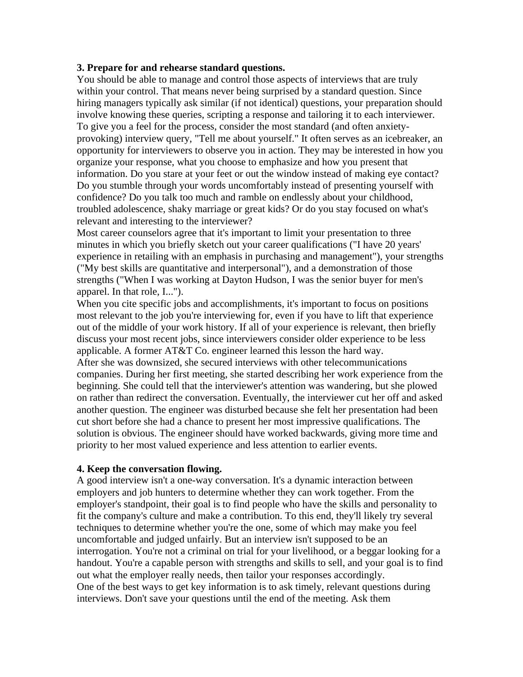#### **3. Prepare for and rehearse standard questions.**

You should be able to manage and control those aspects of interviews that are truly within your control. That means never being surprised by a standard question. Since hiring managers typically ask similar (if not identical) questions, your preparation should involve knowing these queries, scripting a response and tailoring it to each interviewer. To give you a feel for the process, consider the most standard (and often anxietyprovoking) interview query, "Tell me about yourself." It often serves as an icebreaker, an opportunity for interviewers to observe you in action. They may be interested in how you organize your response, what you choose to emphasize and how you present that information. Do you stare at your feet or out the window instead of making eye contact? Do you stumble through your words uncomfortably instead of presenting yourself with confidence? Do you talk too much and ramble on endlessly about your childhood, troubled adolescence, shaky marriage or great kids? Or do you stay focused on what's relevant and interesting to the interviewer?

Most career counselors agree that it's important to limit your presentation to three minutes in which you briefly sketch out your career qualifications ("I have 20 years' experience in retailing with an emphasis in purchasing and management"), your strengths ("My best skills are quantitative and interpersonal"), and a demonstration of those strengths ("When I was working at Dayton Hudson, I was the senior buyer for men's apparel. In that role, I...").

When you cite specific jobs and accomplishments, it's important to focus on positions most relevant to the job you're interviewing for, even if you have to lift that experience out of the middle of your work history. If all of your experience is relevant, then briefly discuss your most recent jobs, since interviewers consider older experience to be less applicable. A former AT&T Co. engineer learned this lesson the hard way. After she was downsized, she secured interviews with other telecommunications companies. During her first meeting, she started describing her work experience from the beginning. She could tell that the interviewer's attention was wandering, but she plowed on rather than redirect the conversation. Eventually, the interviewer cut her off and asked another question. The engineer was disturbed because she felt her presentation had been cut short before she had a chance to present her most impressive qualifications. The solution is obvious. The engineer should have worked backwards, giving more time and priority to her most valued experience and less attention to earlier events.

#### **4. Keep the conversation flowing.**

A good interview isn't a one-way conversation. It's a dynamic interaction between employers and job hunters to determine whether they can work together. From the employer's standpoint, their goal is to find people who have the skills and personality to fit the company's culture and make a contribution. To this end, they'll likely try several techniques to determine whether you're the one, some of which may make you feel uncomfortable and judged unfairly. But an interview isn't supposed to be an interrogation. You're not a criminal on trial for your livelihood, or a beggar looking for a handout. You're a capable person with strengths and skills to sell, and your goal is to find out what the employer really needs, then tailor your responses accordingly. One of the best ways to get key information is to ask timely, relevant questions during interviews. Don't save your questions until the end of the meeting. Ask them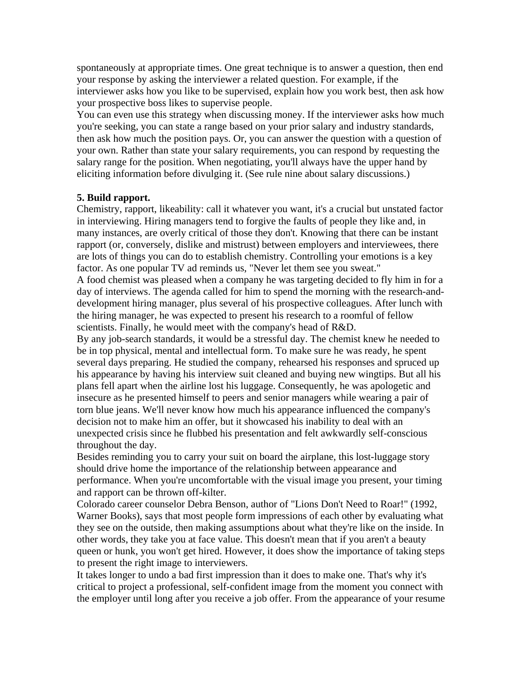spontaneously at appropriate times. One great technique is to answer a question, then end your response by asking the interviewer a related question. For example, if the interviewer asks how you like to be supervised, explain how you work best, then ask how your prospective boss likes to supervise people.

You can even use this strategy when discussing money. If the interviewer asks how much you're seeking, you can state a range based on your prior salary and industry standards, then ask how much the position pays. Or, you can answer the question with a question of your own. Rather than state your salary requirements, you can respond by requesting the salary range for the position. When negotiating, you'll always have the upper hand by eliciting information before divulging it. (See rule nine about salary discussions.)

#### **5. Build rapport.**

Chemistry, rapport, likeability: call it whatever you want, it's a crucial but unstated factor in interviewing. Hiring managers tend to forgive the faults of people they like and, in many instances, are overly critical of those they don't. Knowing that there can be instant rapport (or, conversely, dislike and mistrust) between employers and interviewees, there are lots of things you can do to establish chemistry. Controlling your emotions is a key factor. As one popular TV ad reminds us, "Never let them see you sweat."

A food chemist was pleased when a company he was targeting decided to fly him in for a day of interviews. The agenda called for him to spend the morning with the research-anddevelopment hiring manager, plus several of his prospective colleagues. After lunch with the hiring manager, he was expected to present his research to a roomful of fellow scientists. Finally, he would meet with the company's head of R&D.

By any job-search standards, it would be a stressful day. The chemist knew he needed to be in top physical, mental and intellectual form. To make sure he was ready, he spent several days preparing. He studied the company, rehearsed his responses and spruced up his appearance by having his interview suit cleaned and buying new wingtips. But all his plans fell apart when the airline lost his luggage. Consequently, he was apologetic and insecure as he presented himself to peers and senior managers while wearing a pair of torn blue jeans. We'll never know how much his appearance influenced the company's decision not to make him an offer, but it showcased his inability to deal with an unexpected crisis since he flubbed his presentation and felt awkwardly self-conscious throughout the day.

Besides reminding you to carry your suit on board the airplane, this lost-luggage story should drive home the importance of the relationship between appearance and performance. When you're uncomfortable with the visual image you present, your timing and rapport can be thrown off-kilter.

Colorado career counselor Debra Benson, author of "Lions Don't Need to Roar!" (1992, Warner Books), says that most people form impressions of each other by evaluating what they see on the outside, then making assumptions about what they're like on the inside. In other words, they take you at face value. This doesn't mean that if you aren't a beauty queen or hunk, you won't get hired. However, it does show the importance of taking steps to present the right image to interviewers.

It takes longer to undo a bad first impression than it does to make one. That's why it's critical to project a professional, self-confident image from the moment you connect with the employer until long after you receive a job offer. From the appearance of your resume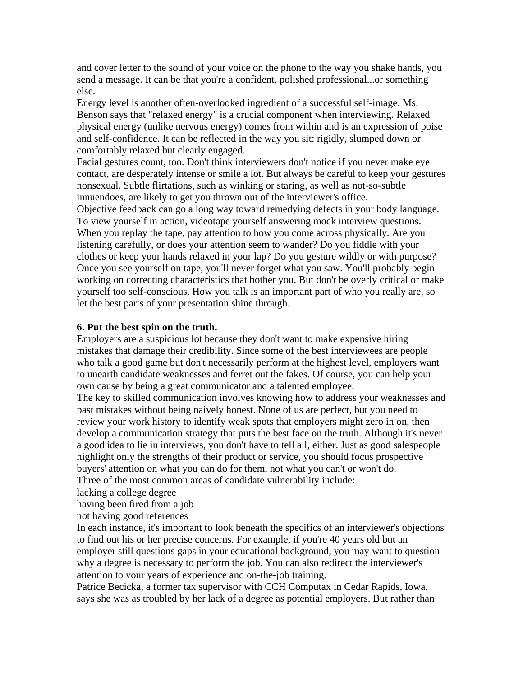and cover letter to the sound of your voice on the phone to the way you shake hands, you send a message. It can be that you're a confident, polished professional...or something else.

Energy level is another often-overlooked ingredient of a successful self-image. Ms. Benson says that "relaxed energy" is a crucial component when interviewing. Relaxed physical energy (unlike nervous energy) comes from within and is an expression of poise and self-confidence. It can be reflected in the way you sit: rigidly, slumped down or comfortably relaxed but clearly engaged.

Facial gestures count, too. Don't think interviewers don't notice if you never make eye contact, are desperately intense or smile a lot. But always be careful to keep your gestures nonsexual. Subtle flirtations, such as winking or staring, as well as not-so-subtle innuendoes, are likely to get you thrown out of the interviewer's office.

Objective feedback can go a long way toward remedying defects in your body language. To view yourself in action, videotape yourself answering mock interview questions. When you replay the tape, pay attention to how you come across physically. Are you listening carefully, or does your attention seem to wander? Do you fiddle with your clothes or keep your hands relaxed in your lap? Do you gesture wildly or with purpose? Once you see yourself on tape, you'll never forget what you saw. You'll probably begin working on correcting characteristics that bother you. But don't be overly critical or make yourself too self-conscious. How you talk is an important part of who you really are, so let the best parts of your presentation shine through.

#### **6. Put the best spin on the truth.**

Employers are a suspicious lot because they don't want to make expensive hiring mistakes that damage their credibility. Since some of the best interviewees are people who talk a good game but don't necessarily perform at the highest level, employers want to unearth candidate weaknesses and ferret out the fakes. Of course, you can help your own cause by being a great communicator and a talented employee.

The key to skilled communication involves knowing how to address your weaknesses and past mistakes without being naively honest. None of us are perfect, but you need to review your work history to identify weak spots that employers might zero in on, then develop a communication strategy that puts the best face on the truth. Although it's never a good idea to lie in interviews, you don't have to tell all, either. Just as good salespeople highlight only the strengths of their product or service, you should focus prospective buyers' attention on what you can do for them, not what you can't or won't do. Three of the most common areas of candidate vulnerability include:

lacking a college degree

having been fired from a job

not having good references

In each instance, it's important to look beneath the specifics of an interviewer's objections to find out his or her precise concerns. For example, if you're 40 years old but an employer still questions gaps in your educational background, you may want to question why a degree is necessary to perform the job. You can also redirect the interviewer's attention to your years of experience and on-the-job training.

Patrice Becicka, a former tax supervisor with CCH Computax in Cedar Rapids, Iowa, says she was as troubled by her lack of a degree as potential employers. But rather than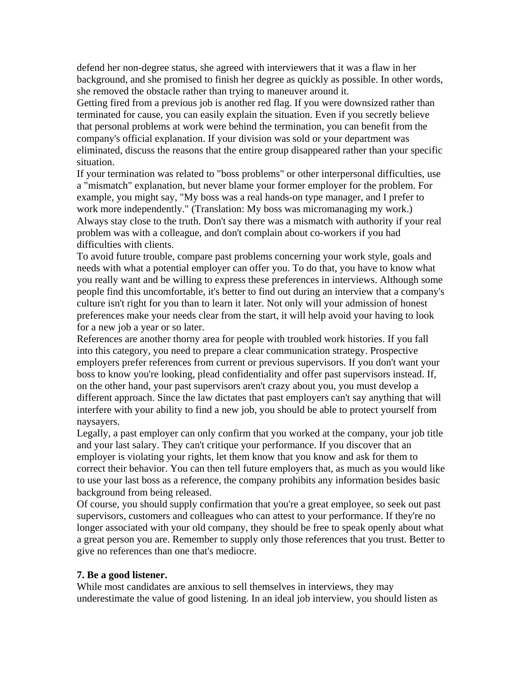defend her non-degree status, she agreed with interviewers that it was a flaw in her background, and she promised to finish her degree as quickly as possible. In other words, she removed the obstacle rather than trying to maneuver around it.

Getting fired from a previous job is another red flag. If you were downsized rather than terminated for cause, you can easily explain the situation. Even if you secretly believe that personal problems at work were behind the termination, you can benefit from the company's official explanation. If your division was sold or your department was eliminated, discuss the reasons that the entire group disappeared rather than your specific situation.

If your termination was related to "boss problems" or other interpersonal difficulties, use a "mismatch" explanation, but never blame your former employer for the problem. For example, you might say, "My boss was a real hands-on type manager, and I prefer to work more independently." (Translation: My boss was micromanaging my work.) Always stay close to the truth. Don't say there was a mismatch with authority if your real problem was with a colleague, and don't complain about co-workers if you had difficulties with clients.

To avoid future trouble, compare past problems concerning your work style, goals and needs with what a potential employer can offer you. To do that, you have to know what you really want and be willing to express these preferences in interviews. Although some people find this uncomfortable, it's better to find out during an interview that a company's culture isn't right for you than to learn it later. Not only will your admission of honest preferences make your needs clear from the start, it will help avoid your having to look for a new job a year or so later.

References are another thorny area for people with troubled work histories. If you fall into this category, you need to prepare a clear communication strategy. Prospective employers prefer references from current or previous supervisors. If you don't want your boss to know you're looking, plead confidentiality and offer past supervisors instead. If, on the other hand, your past supervisors aren't crazy about you, you must develop a different approach. Since the law dictates that past employers can't say anything that will interfere with your ability to find a new job, you should be able to protect yourself from naysayers.

Legally, a past employer can only confirm that you worked at the company, your job title and your last salary. They can't critique your performance. If you discover that an employer is violating your rights, let them know that you know and ask for them to correct their behavior. You can then tell future employers that, as much as you would like to use your last boss as a reference, the company prohibits any information besides basic background from being released.

Of course, you should supply confirmation that you're a great employee, so seek out past supervisors, customers and colleagues who can attest to your performance. If they're no longer associated with your old company, they should be free to speak openly about what a great person you are. Remember to supply only those references that you trust. Better to give no references than one that's mediocre.

#### **7. Be a good listener.**

While most candidates are anxious to sell themselves in interviews, they may underestimate the value of good listening. In an ideal job interview, you should listen as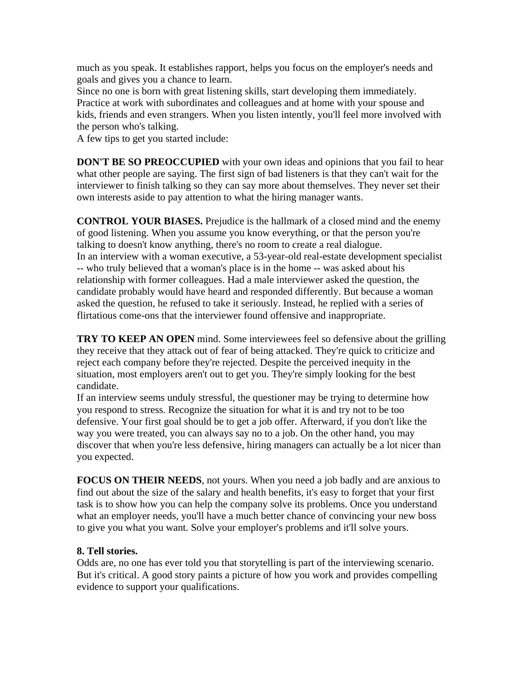much as you speak. It establishes rapport, helps you focus on the employer's needs and goals and gives you a chance to learn.

Since no one is born with great listening skills, start developing them immediately. Practice at work with subordinates and colleagues and at home with your spouse and kids, friends and even strangers. When you listen intently, you'll feel more involved with the person who's talking.

A few tips to get you started include:

**DON'T BE SO PREOCCUPIED** with your own ideas and opinions that you fail to hear what other people are saying. The first sign of bad listeners is that they can't wait for the interviewer to finish talking so they can say more about themselves. They never set their own interests aside to pay attention to what the hiring manager wants.

**CONTROL YOUR BIASES.** Prejudice is the hallmark of a closed mind and the enemy of good listening. When you assume you know everything, or that the person you're talking to doesn't know anything, there's no room to create a real dialogue. In an interview with a woman executive, a 53-year-old real-estate development specialist -- who truly believed that a woman's place is in the home -- was asked about his relationship with former colleagues. Had a male interviewer asked the question, the candidate probably would have heard and responded differently. But because a woman asked the question, he refused to take it seriously. Instead, he replied with a series of flirtatious come-ons that the interviewer found offensive and inappropriate.

**TRY TO KEEP AN OPEN** mind. Some interviewees feel so defensive about the grilling they receive that they attack out of fear of being attacked. They're quick to criticize and reject each company before they're rejected. Despite the perceived inequity in the situation, most employers aren't out to get you. They're simply looking for the best candidate.

If an interview seems unduly stressful, the questioner may be trying to determine how you respond to stress. Recognize the situation for what it is and try not to be too defensive. Your first goal should be to get a job offer. Afterward, if you don't like the way you were treated, you can always say no to a job. On the other hand, you may discover that when you're less defensive, hiring managers can actually be a lot nicer than you expected.

**FOCUS ON THEIR NEEDS**, not yours. When you need a job badly and are anxious to find out about the size of the salary and health benefits, it's easy to forget that your first task is to show how you can help the company solve its problems. Once you understand what an employer needs, you'll have a much better chance of convincing your new boss to give you what you want. Solve your employer's problems and it'll solve yours.

## **8. Tell stories.**

Odds are, no one has ever told you that storytelling is part of the interviewing scenario. But it's critical. A good story paints a picture of how you work and provides compelling evidence to support your qualifications.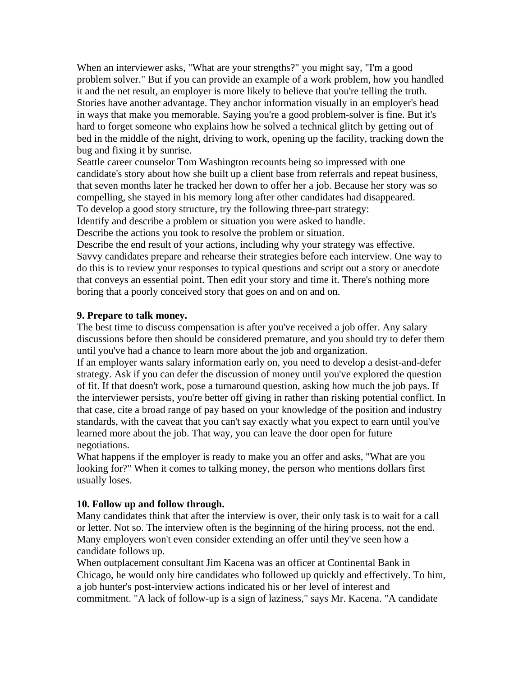When an interviewer asks, "What are your strengths?" you might say, "I'm a good problem solver." But if you can provide an example of a work problem, how you handled it and the net result, an employer is more likely to believe that you're telling the truth. Stories have another advantage. They anchor information visually in an employer's head in ways that make you memorable. Saying you're a good problem-solver is fine. But it's hard to forget someone who explains how he solved a technical glitch by getting out of bed in the middle of the night, driving to work, opening up the facility, tracking down the bug and fixing it by sunrise.

Seattle career counselor Tom Washington recounts being so impressed with one candidate's story about how she built up a client base from referrals and repeat business, that seven months later he tracked her down to offer her a job. Because her story was so compelling, she stayed in his memory long after other candidates had disappeared. To develop a good story structure, try the following three-part strategy:

Identify and describe a problem or situation you were asked to handle.

Describe the actions you took to resolve the problem or situation.

Describe the end result of your actions, including why your strategy was effective. Savvy candidates prepare and rehearse their strategies before each interview. One way to do this is to review your responses to typical questions and script out a story or anecdote that conveys an essential point. Then edit your story and time it. There's nothing more boring that a poorly conceived story that goes on and on and on.

## **9. Prepare to talk money.**

The best time to discuss compensation is after you've received a job offer. Any salary discussions before then should be considered premature, and you should try to defer them until you've had a chance to learn more about the job and organization.

If an employer wants salary information early on, you need to develop a desist-and-defer strategy. Ask if you can defer the discussion of money until you've explored the question of fit. If that doesn't work, pose a turnaround question, asking how much the job pays. If the interviewer persists, you're better off giving in rather than risking potential conflict. In that case, cite a broad range of pay based on your knowledge of the position and industry standards, with the caveat that you can't say exactly what you expect to earn until you've learned more about the job. That way, you can leave the door open for future negotiations.

What happens if the employer is ready to make you an offer and asks, "What are you looking for?" When it comes to talking money, the person who mentions dollars first usually loses.

## **10. Follow up and follow through.**

Many candidates think that after the interview is over, their only task is to wait for a call or letter. Not so. The interview often is the beginning of the hiring process, not the end. Many employers won't even consider extending an offer until they've seen how a candidate follows up.

When outplacement consultant Jim Kacena was an officer at Continental Bank in Chicago, he would only hire candidates who followed up quickly and effectively. To him, a job hunter's post-interview actions indicated his or her level of interest and commitment. "A lack of follow-up is a sign of laziness," says Mr. Kacena. "A candidate